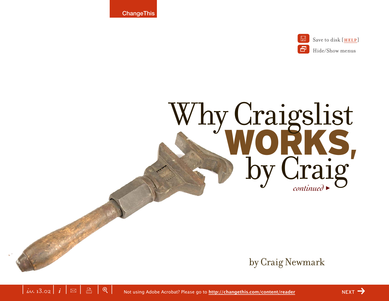**ChangeThis** 



# *continued* > WORKS, Why Craigslist

by Craig Newmark



 $NEXT$   $\rightarrow$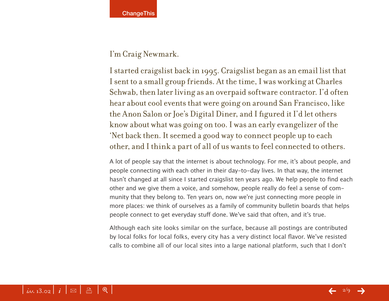#### I'm Craig Newmark.

I started craigslist back in 1995. Craigslist began as an email list that I sent to a small group friends. At the time, I was working at Charles Schwab, then later living as an overpaid software contractor. I'd often hear about cool events that were going on around San Francisco, like the Anon Salon or Joe's Digital Diner, and I figured it I'd let others know about what was going on too. I was an early evangelizer of the 'Net back then. It seemed a good way to connect people up to each other, and I think a part of all of us wants to feel connected to others.

A lot of people say that the internet is about technology. For me, it's about people, and people connecting with each other in their day-to-day lives. In that way, the internet hasn't changed at all since I started craigslist ten years ago. We help people to find each other and we give them a voice, and somehow, people really do feel a sense of community that they belong to. Ten years on, now we're just connecting more people in more places: we think of ourselves as a family of community bulletin boards that helps people connect to get everyday stuff done. We've said that often, and it's true.

Although each site looks similar on the surface, because all postings are contributed by local folks for local folks, every city has a very distinct local flavor. We've resisted calls to combine all of our local sites into a large national platform, such that I don't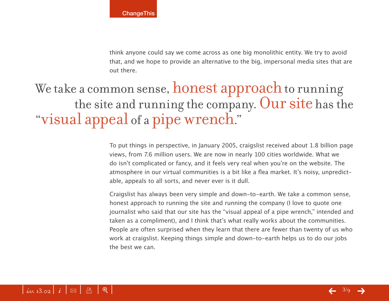think anyone could say we come across as one big monolithic entity. We try to avoid that, and we hope to provide an alternative to the big, impersonal media sites that are out there.

# We take a common sense, **honest approach** to running the site and running the company. Our site has the "visual appeal of a pipe wrench."

To put things in perspective, in January 2005, craigslist received about 1.8 billion page views, from 7.6 million users. We are now in nearly 100 cities worldwide. What we do isn't complicated or fancy, and it feels very real when you're on the website. The atmosphere in our virtual communities is a bit like a flea market. It's noisy, unpredictable, appeals to all sorts, and never ever is it dull.

Craigslist has always been very simple and down-to-earth. We take a common sense, honest approach to running the site and running the company (I love to quote one journalist who said that our site has the "visual appeal of a pipe wrench," intended and taken as a compliment), and I think that's what really works about the communities. People are often surprised when they learn that there are fewer than twenty of us who work at craigslist. Keeping things simple and down-to-earth helps us to do our jobs the best we can.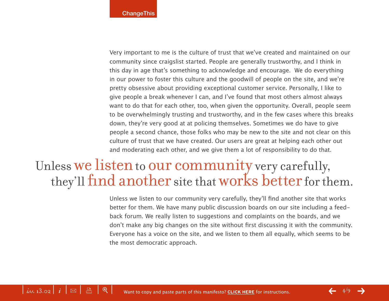Very important to me is the culture of trust that we've created and maintained on our community since craigslist started. People are generally trustworthy, and I think in this day in age that's something to acknowledge and encourage. We do everything in our power to foster this culture and the goodwill of people on the site, and we're pretty obsessive about providing exceptional customer service. Personally, I like to give people a break whenever I can, and I've found that most others almost always want to do that for each other, too, when given the opportunity. Overall, people seem to be overwhelmingly trusting and trustworthy, and in the few cases where this breaks down, they're very good at at policing themselves. Sometimes we do have to give people a second chance, those folks who may be new to the site and not clear on this culture of trust that we have created. Our users are great at helping each other out and moderating each other, and we give them a lot of responsibility to do that.

## Unless we listen to our community very carefully, they'll find another site that works better for them.

Unless we listen to our community very carefully, they'll find another site that works better for them. We have many public discussion boards on our site including a feedback forum. We really listen to suggestions and complaints on the boards, and we don't make any big changes on the site without first discussing it with the community. Everyone has a voice on the site, and we listen to them all equally, which seems to be the most democratic approach.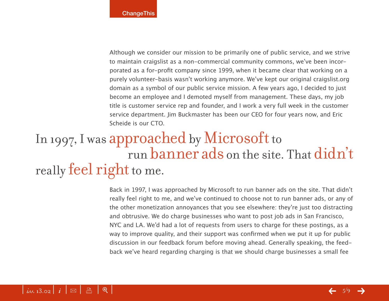Although we consider our mission to be primarily one of public service, and we strive to maintain craigslist as a non-commercial community commons, we've been incorporated as a for-profit company since 1999, when it became clear that working on a purely volunteer-basis wasn't working anymore. We've kept our original craigslist.org domain as a symbol of our public service mission. A few years ago, I decided to just become an employee and I demoted myself from management. These days, my job title is customer service rep and founder, and I work a very full week in the customer service department. Jim Buckmaster has been our CEO for four years now, and Eric Scheide is our CTO.

# In 1997, I was approached by Microsoft to run banner ads on the site. That didn't really **feel right** to me.

Back in 1997, I was approached by Microsoft to run banner ads on the site. That didn't really feel right to me, and we've continued to choose not to run banner ads, or any of the other monetization annoyances that you see elsewhere: they're just too distracting and obtrusive. We do charge businesses who want to post job ads in San Francisco, NYC and LA. We'd had a lot of requests from users to charge for these postings, as a way to improve quality, and their support was confirmed when we put it up for public discussion in our feedback forum before moving ahead. Generally speaking, the feedback we've heard regarding charging is that we should charge businesses a small fee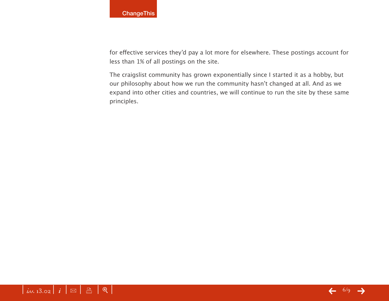for effective services they'd pay a lot more for elsewhere. These postings account for less than 1% of all postings on the site.

The craigslist community has grown exponentially since I started it as a hobby, but our philosophy about how we run the community hasn't changed at all. And as we expand into other cities and countries, we will continue to run the site by these same principles.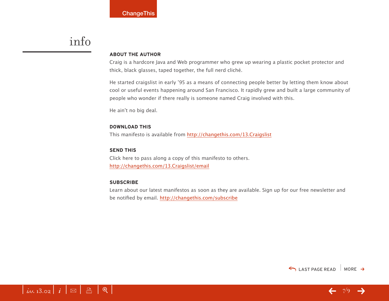### info

#### **ABOUT THE AUTHOR**

Craig is a hardcore Java and Web programmer who grew up wearing a plastic pocket protector and thick, black glasses, taped together, the full nerd cliché.

He started craigslist in early '95 as a means of connecting people better by letting them know about cool or useful events happening around San Francisco. It rapidly grew and built a large community of people who wonder if there really is someone named Craig involved with this.

He ain't no big deal.

#### **DOWNLOAD THIS**

This manifesto is available from <http://changethis.com/13.Craigslist>

#### **SEND THIS**

Click here to pass along a copy of this manifesto to others. <http://changethis.com/13.Craigslist/email>

#### **SUBSCRIBE**

Learn about our latest manifestos as soon as they are available. Sign up for our free newsletter and be notified by email.<http://changethis.com/subscribe>





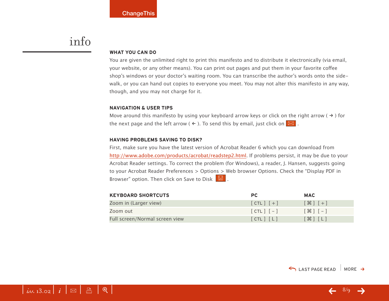### info

 $\left| i_{d,d.13.02} \right| i \, \propto \, \left| \right.$   $\Box$   $\, \left| \right.$   $\oplus$ 

#### **WHAT YOU CAN DO**

You are given the unlimited right to print this manifesto and to distribute it electronically (via email, your website, or any other means). You can print out pages and put them in your favorite coffee shop's windows or your doctor's waiting room. You can transcribe the author's words onto the sidewalk, or you can hand out copies to everyone you meet. You may not alter this manifesto in any way, though, and you may not charge for it.

#### **NAVIGATION & USER TIPS**

Move around this manifesto by using your keyboard arrow keys or click on the right arrow ( $\rightarrow$ ) for the next page and the left arrow (  $\leftarrow$  ). To send this by email, just click on  $\boxed{\boxtimes}$  .

#### **HAVING PROBLEMS SAVING TO DISK?**

First, make sure you have the latest version of Acrobat Reader 6 which you can download from [http://www.adobe.com/products/acrobat/readstep2.html.](http://www.adobe.com/products/acrobat/readstep2.html) If problems persist, it may be due to your Acrobat Reader settings. To correct the problem (for Windows), a reader, J. Hansen, suggests going to your Acrobat Reader Preferences > Options > Web browser Options. Check the "Display PDF in Browser" option. Then click on Save to Disk  $\boxed{\boxtimes}$ .

| <b>KEYBOARD SHORTCUTS</b>      | <b>PC</b>     | <b>MAC</b>                        |
|--------------------------------|---------------|-----------------------------------|
| Zoom in (Larger view)          | $[CIL]$ $[+]$ | $[$ $\frac{1}{2}$ $]$ $[$ $+$ $]$ |
| Zoom out                       | $[CIL]$ $[-]$ | $[$ $\mathcal{H}$ $]$ $[-]$       |
| Full screen/Normal screen view | [CHL] [L]     | $[\mathcal{H}]$ $[L]$             |

 $\leftarrow$  8/9  $\rightarrow$